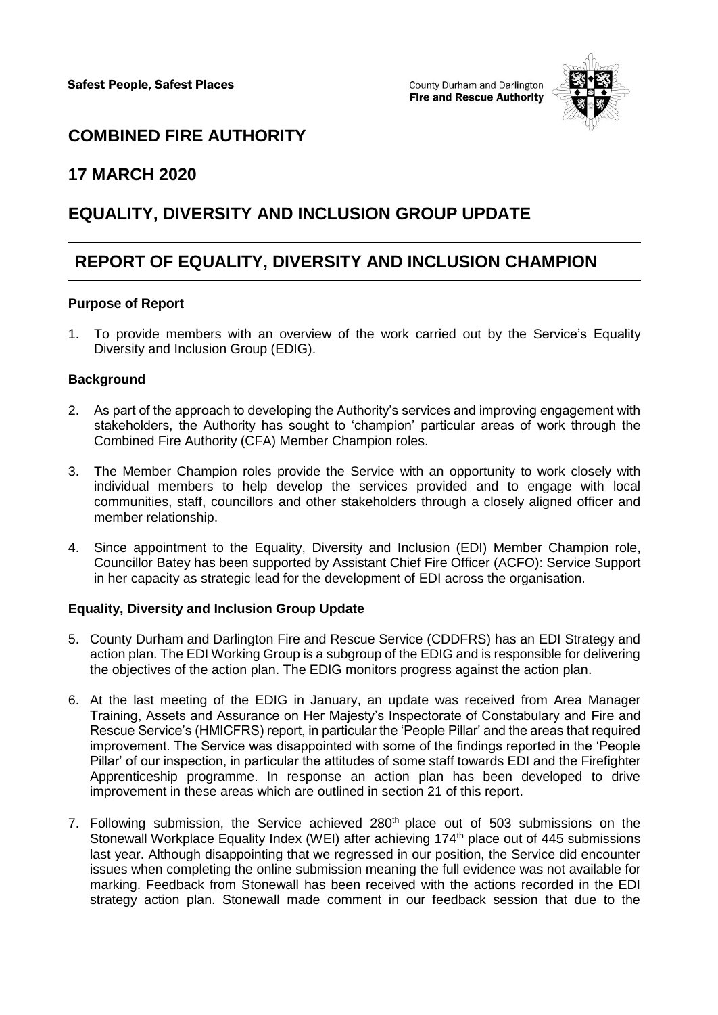County Durham and Darlington **Fire and Rescue Authority** 



### **COMBINED FIRE AUTHORITY**

### **17 MARCH 2020**

## **EQUALITY, DIVERSITY AND INCLUSION GROUP UPDATE**

# **REPORT OF EQUALITY, DIVERSITY AND INCLUSION CHAMPION**

#### **Purpose of Report**

1. To provide members with an overview of the work carried out by the Service's Equality Diversity and Inclusion Group (EDIG).

#### **Background**

- 2. As part of the approach to developing the Authority's services and improving engagement with stakeholders, the Authority has sought to 'champion' particular areas of work through the Combined Fire Authority (CFA) Member Champion roles.
- 3. The Member Champion roles provide the Service with an opportunity to work closely with individual members to help develop the services provided and to engage with local communities, staff, councillors and other stakeholders through a closely aligned officer and member relationship.
- 4. Since appointment to the Equality, Diversity and Inclusion (EDI) Member Champion role, Councillor Batey has been supported by Assistant Chief Fire Officer (ACFO): Service Support in her capacity as strategic lead for the development of EDI across the organisation.

#### **Equality, Diversity and Inclusion Group Update**

- 5. County Durham and Darlington Fire and Rescue Service (CDDFRS) has an EDI Strategy and action plan. The EDI Working Group is a subgroup of the EDIG and is responsible for delivering the objectives of the action plan. The EDIG monitors progress against the action plan.
- 6. At the last meeting of the EDIG in January, an update was received from Area Manager Training, Assets and Assurance on Her Majesty's Inspectorate of Constabulary and Fire and Rescue Service's (HMICFRS) report, in particular the 'People Pillar' and the areas that required improvement. The Service was disappointed with some of the findings reported in the 'People Pillar' of our inspection, in particular the attitudes of some staff towards EDI and the Firefighter Apprenticeship programme. In response an action plan has been developed to drive improvement in these areas which are outlined in section 21 of this report.
- 7. Following submission, the Service achieved 280<sup>th</sup> place out of 503 submissions on the Stonewall Workplace Equality Index (WEI) after achieving 174<sup>th</sup> place out of 445 submissions last year. Although disappointing that we regressed in our position, the Service did encounter issues when completing the online submission meaning the full evidence was not available for marking. Feedback from Stonewall has been received with the actions recorded in the EDI strategy action plan. Stonewall made comment in our feedback session that due to the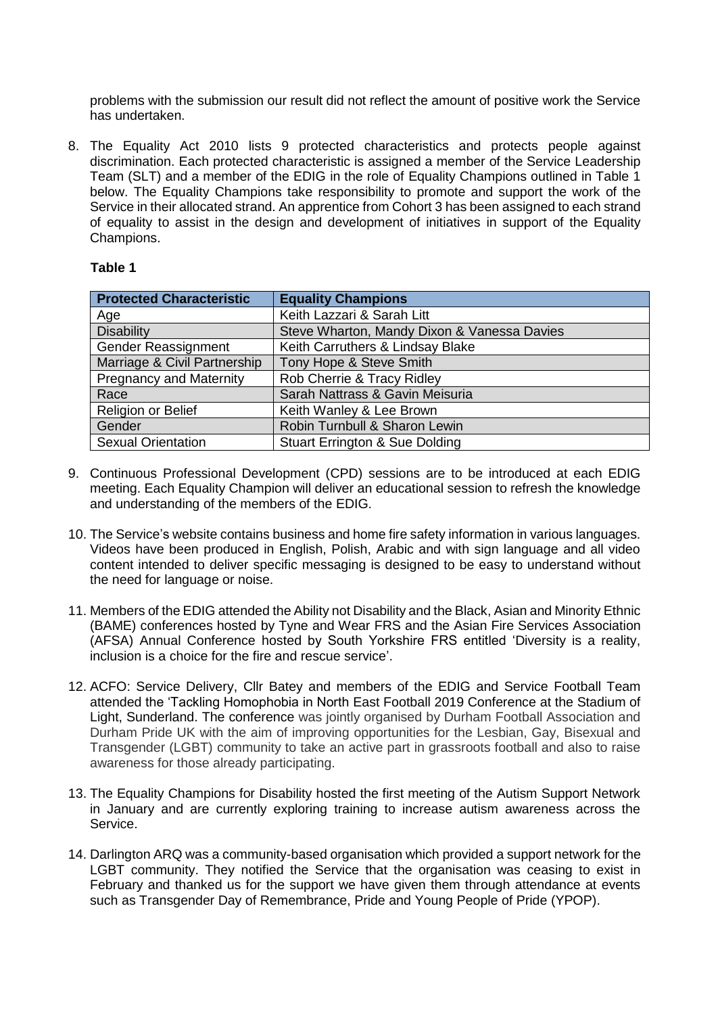problems with the submission our result did not reflect the amount of positive work the Service has undertaken.

8. The Equality Act 2010 lists 9 protected characteristics and protects people against discrimination. Each protected characteristic is assigned a member of the Service Leadership Team (SLT) and a member of the EDIG in the role of Equality Champions outlined in Table 1 below. The Equality Champions take responsibility to promote and support the work of the Service in their allocated strand. An apprentice from Cohort 3 has been assigned to each strand of equality to assist in the design and development of initiatives in support of the Equality Champions.

#### **Table 1**

| <b>Protected Characteristic</b> | <b>Equality Champions</b>                   |
|---------------------------------|---------------------------------------------|
| Age                             | Keith Lazzari & Sarah Litt                  |
| <b>Disability</b>               | Steve Wharton, Mandy Dixon & Vanessa Davies |
| Gender Reassignment             | Keith Carruthers & Lindsay Blake            |
| Marriage & Civil Partnership    | Tony Hope & Steve Smith                     |
| <b>Pregnancy and Maternity</b>  | Rob Cherrie & Tracy Ridley                  |
| Race                            | Sarah Nattrass & Gavin Meisuria             |
| Religion or Belief              | Keith Wanley & Lee Brown                    |
| Gender                          | Robin Turnbull & Sharon Lewin               |
| <b>Sexual Orientation</b>       | <b>Stuart Errington &amp; Sue Dolding</b>   |

- 9. Continuous Professional Development (CPD) sessions are to be introduced at each EDIG meeting. Each Equality Champion will deliver an educational session to refresh the knowledge and understanding of the members of the EDIG.
- 10. The Service's website contains business and home fire safety information in various languages. Videos have been produced in English, Polish, Arabic and with sign language and all video content intended to deliver specific messaging is designed to be easy to understand without the need for language or noise.
- 11. Members of the EDIG attended the Ability not Disability and the Black, Asian and Minority Ethnic (BAME) conferences hosted by Tyne and Wear FRS and the Asian Fire Services Association (AFSA) Annual Conference hosted by South Yorkshire FRS entitled 'Diversity is a reality, inclusion is a choice for the fire and rescue service'.
- 12. ACFO: Service Delivery, Cllr Batey and members of the EDIG and Service Football Team attended the 'Tackling Homophobia in North East Football 2019 Conference at the Stadium of Light, Sunderland. The conference was jointly organised by Durham Football Association and Durham Pride UK with the aim of improving opportunities for the Lesbian, Gay, Bisexual and Transgender (LGBT) community to take an active part in grassroots football and also to raise awareness for those already participating.
- 13. The Equality Champions for Disability hosted the first meeting of the Autism Support Network in January and are currently exploring training to increase autism awareness across the Service.
- 14. Darlington ARQ was a community-based organisation which provided a support network for the LGBT community. They notified the Service that the organisation was ceasing to exist in February and thanked us for the support we have given them through attendance at events such as Transgender Day of Remembrance, Pride and Young People of Pride (YPOP).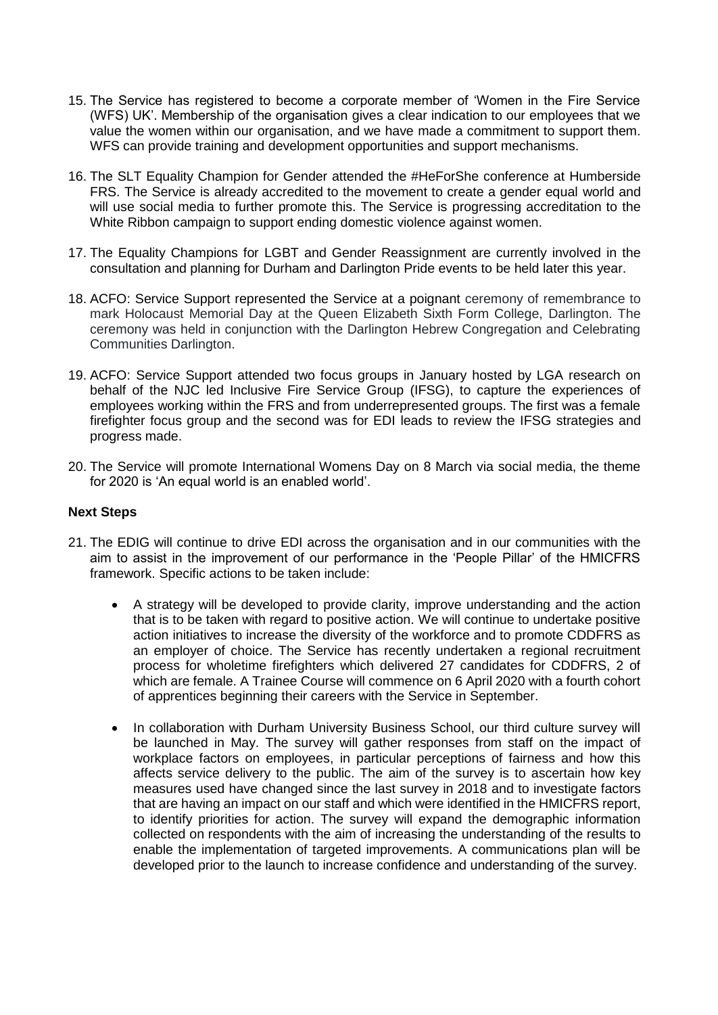- 15. The Service has registered to become a corporate member of 'Women in the Fire Service (WFS) UK'. Membership of the organisation gives a clear indication to our employees that we value the women within our organisation, and we have made a commitment to support them. WFS can provide training and development opportunities and support mechanisms.
- 16. The SLT Equality Champion for Gender attended the #HeForShe conference at Humberside FRS. The Service is already accredited to the movement to create a gender equal world and will use social media to further promote this. The Service is progressing accreditation to the White Ribbon campaign to support ending domestic violence against women.
- 17. The Equality Champions for LGBT and Gender Reassignment are currently involved in the consultation and planning for Durham and Darlington Pride events to be held later this year.
- 18. ACFO: Service Support represented the Service at a poignant ceremony of remembrance to mark Holocaust Memorial Day at the Queen Elizabeth Sixth Form College, Darlington. The ceremony was held in conjunction with the Darlington Hebrew Congregation and Celebrating Communities Darlington.
- 19. ACFO: Service Support attended two focus groups in January hosted by LGA research on behalf of the NJC led Inclusive Fire Service Group (IFSG), to capture the experiences of employees working within the FRS and from underrepresented groups. The first was a female firefighter focus group and the second was for EDI leads to review the IFSG strategies and progress made.
- 20. The Service will promote International Womens Day on 8 March via social media, the theme for 2020 is 'An equal world is an enabled world'.

#### **Next Steps**

- 21. The EDIG will continue to drive EDI across the organisation and in our communities with the aim to assist in the improvement of our performance in the 'People Pillar' of the HMICFRS framework. Specific actions to be taken include:
	- A strategy will be developed to provide clarity, improve understanding and the action that is to be taken with regard to positive action. We will continue to undertake positive action initiatives to increase the diversity of the workforce and to promote CDDFRS as an employer of choice. The Service has recently undertaken a regional recruitment process for wholetime firefighters which delivered 27 candidates for CDDFRS, 2 of which are female. A Trainee Course will commence on 6 April 2020 with a fourth cohort of apprentices beginning their careers with the Service in September.
	- In collaboration with Durham University Business School, our third culture survey will be launched in May. The survey will gather responses from staff on the impact of workplace factors on employees, in particular perceptions of fairness and how this affects service delivery to the public. The aim of the survey is to ascertain how key measures used have changed since the last survey in 2018 and to investigate factors that are having an impact on our staff and which were identified in the HMICFRS report, to identify priorities for action. The survey will expand the demographic information collected on respondents with the aim of increasing the understanding of the results to enable the implementation of targeted improvements. A communications plan will be developed prior to the launch to increase confidence and understanding of the survey.